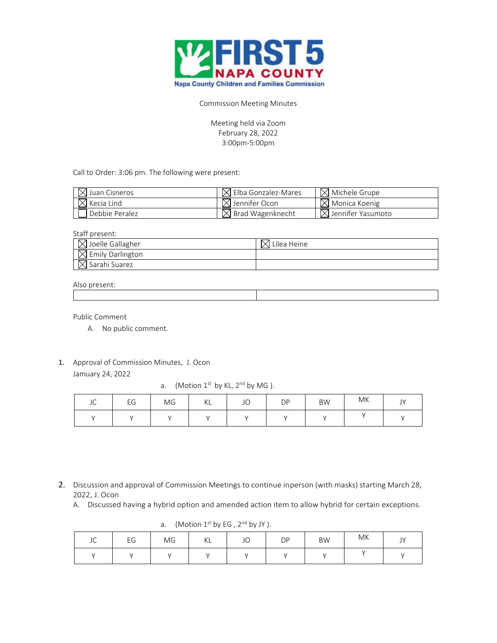

Commission Meeting Minutes

Meeting held via Zoom February 28, 2022 3:00pm-5:00pm

Call to Order: 3:06 pm. The following were present:

| $\boxtimes$ Juan Cisneros | $\boxtimes$ Elba Gonzalez-Mares | $\boxtimes$ Michele Grupe     |
|---------------------------|---------------------------------|-------------------------------|
| $\boxtimes$ Kecia Lind    | $\boxtimes$ Jennifer Ocon       | $\boxtimes$ Monica Koenig     |
| Debbie Peralez            | $\boxtimes$ Brad Wagenknecht    | $\boxtimes$ Jennifer Yasumoto |

Staff present:

| $\boxtimes$ Joelle Gallagher | Lilea Heine |
|------------------------------|-------------|
| $\boxtimes$ Emily Darlington |             |
| $\boxtimes$ Sarahi Suarez    |             |

## Also present:

Public Comment

- A. No public comment.
- 1. Approval of Commission Minutes, J. Ocon Jamuary 24, 2022

a. (Motion  $1^{st}$  by KL,  $2^{nd}$  by MG).

| JC | EG | MG | KL | JO | DP | <b>BW</b> | МK | $\mathsf{IV}$<br><u>J 1</u> |
|----|----|----|----|----|----|-----------|----|-----------------------------|
|    |    |    |    |    |    |           |    |                             |

2. Discussion and approval of Commission Meetings to continue inperson (with masks) starting March 28, 2022, J. Ocon

A. Discussed having a hybrid option and amended action item to allow hybrid for certain exceptions.

| $\alpha$ . $\beta$ . $\beta$ . $\beta$ . $\beta$ . $\beta$ . $\beta$ . $\beta$ . $\beta$ . $\beta$ . $\beta$ . $\beta$ . $\beta$ . $\beta$ . $\beta$ . $\beta$ . $\beta$ . $\beta$ . $\beta$ . $\beta$ . $\beta$ . $\beta$ . $\beta$ . $\beta$ . $\beta$ . $\beta$ . $\beta$ . $\beta$ . $\beta$ . $\beta$ . $\beta$ . $\beta$ . $\alpha$ . $\beta$ . $\alpha$ . $\beta$ . $\alpha$ . |    |    |    |    |           |           |    |                               |
|---------------------------------------------------------------------------------------------------------------------------------------------------------------------------------------------------------------------------------------------------------------------------------------------------------------------------------------------------------------------------------------|----|----|----|----|-----------|-----------|----|-------------------------------|
| $\sim$<br>JU                                                                                                                                                                                                                                                                                                                                                                          | EG | MG | ΚL | JO | <b>DP</b> | <b>BW</b> | MK | $\overline{V}$<br><u>J   </u> |
|                                                                                                                                                                                                                                                                                                                                                                                       |    |    |    |    |           |           |    |                               |

a. (Motion  $1<sup>st</sup>$  by EG ,  $2<sup>nd</sup>$  by JY ).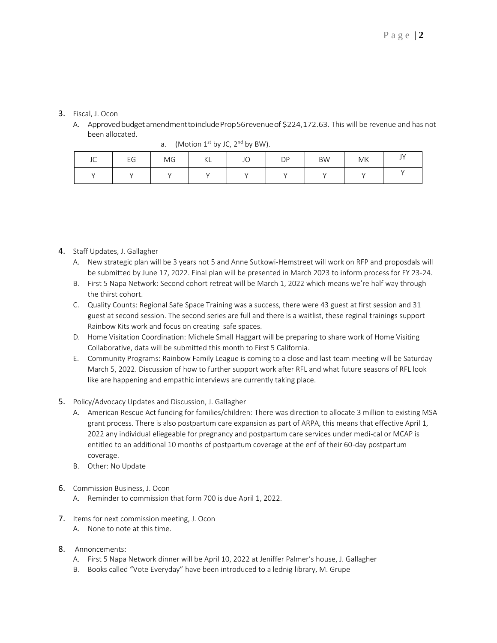## 3. Fiscal, J. Ocon

A. Approved budget amendment to include Prop 56 revenue of \$224,172.63. This will be revenue and has not been allocated.

| $\sim$<br>ب ر | EG | MG | KL | JO | <b>DP</b> | <b>BW</b> | MK | $\mathbf{A}$<br><u>.</u> |
|---------------|----|----|----|----|-----------|-----------|----|--------------------------|
|               |    |    |    |    |           |           |    |                          |

a. (Motion  $1^{st}$  by JC,  $2^{nd}$  by BW).

- 4. Staff Updates, J. Gallagher
	- A. New strategic plan will be 3 years not 5 and Anne Sutkowi-Hemstreet will work on RFP and proposdals will be submitted by June 17, 2022. Final plan will be presented in March 2023 to inform process for FY 23-24.
	- B. First 5 Napa Network: Second cohort retreat will be March 1, 2022 which means we're half way through the thirst cohort.
	- C. Quality Counts: Regional Safe Space Training was a success, there were 43 guest at first session and 31 guest at second session. The second series are full and there is a waitlist, these reginal trainings support Rainbow Kits work and focus on creating safe spaces.
	- D. Home Visitation Coordination: Michele Small Haggart will be preparing to share work of Home Visiting Collaborative, data will be submitted this month to First 5 California.
	- E. Community Programs: Rainbow Family League is coming to a close and last team meeting will be Saturday March 5, 2022. Discussion of how to further support work after RFL and what future seasons of RFL look like are happening and empathic interviews are currently taking place.
- 5. Policy/Advocacy Updates and Discussion, J. Gallagher
	- A. American Rescue Act funding for families/children: There was direction to allocate 3 million to existing MSA grant process. There is also postpartum care expansion as part of ARPA, this means that effective April 1, 2022 any individual eliegeable for pregnancy and postpartum care services under medi-cal or MCAP is entitled to an additional 10 months of postpartum coverage at the enf of their 60-day postpartum coverage.
	- B. Other: No Update
- 6. Commission Business, J. Ocon
	- A. Reminder to commission that form 700 is due April 1, 2022.
- 7. Items for next commission meeting, J. Ocon
	- A. None to note at this time.
- 8. Annoncements:
	- A. First 5 Napa Network dinner will be April 10, 2022 at Jeniffer Palmer's house, J. Gallagher
	- B. Books called "Vote Everyday" have been introduced to a lednig library, M. Grupe